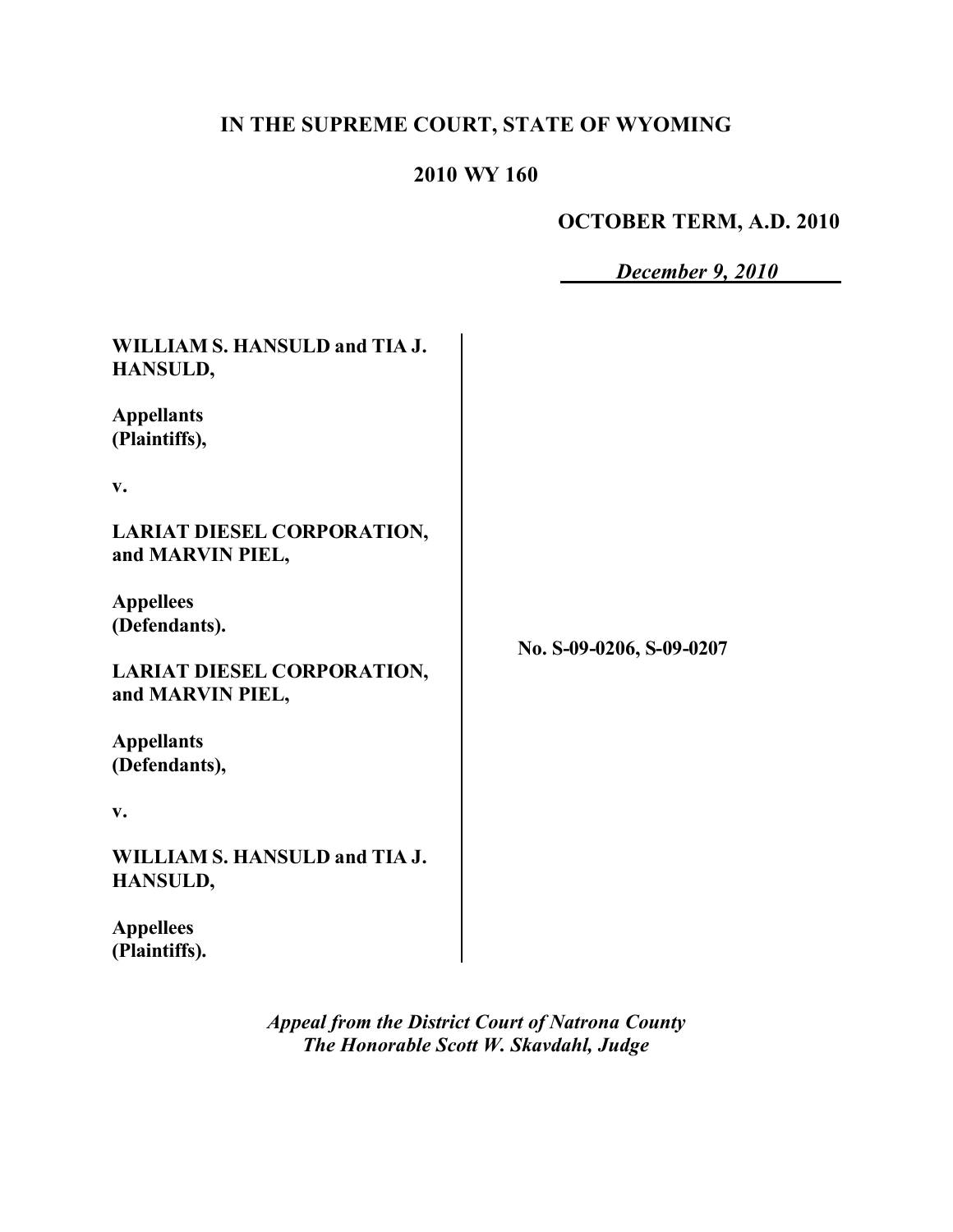# **IN THE SUPREME COURT, STATE OF WYOMING**

# **2010 WY 160**

## **OCTOBER TERM, A.D. 2010**

|                                                       | December 9, 2010         |
|-------------------------------------------------------|--------------------------|
| WILLIAM S. HANSULD and TIA J.<br>HANSULD,             |                          |
| <b>Appellants</b><br>(Plaintiffs),                    | No. S-09-0206, S-09-0207 |
| v.                                                    |                          |
| <b>LARIAT DIESEL CORPORATION,</b><br>and MARVIN PIEL, |                          |
| <b>Appellees</b><br>(Defendants).                     |                          |
| <b>LARIAT DIESEL CORPORATION,</b><br>and MARVIN PIEL, |                          |
| <b>Appellants</b><br>(Defendants),                    |                          |
| v.                                                    |                          |
| WILLIAM S. HANSULD and TIA J.<br>HANSULD,             |                          |
| <b>Appellees</b><br>(Plaintiffs).                     |                          |

*Appeal from the District Court of Natrona County The Honorable Scott W. Skavdahl, Judge*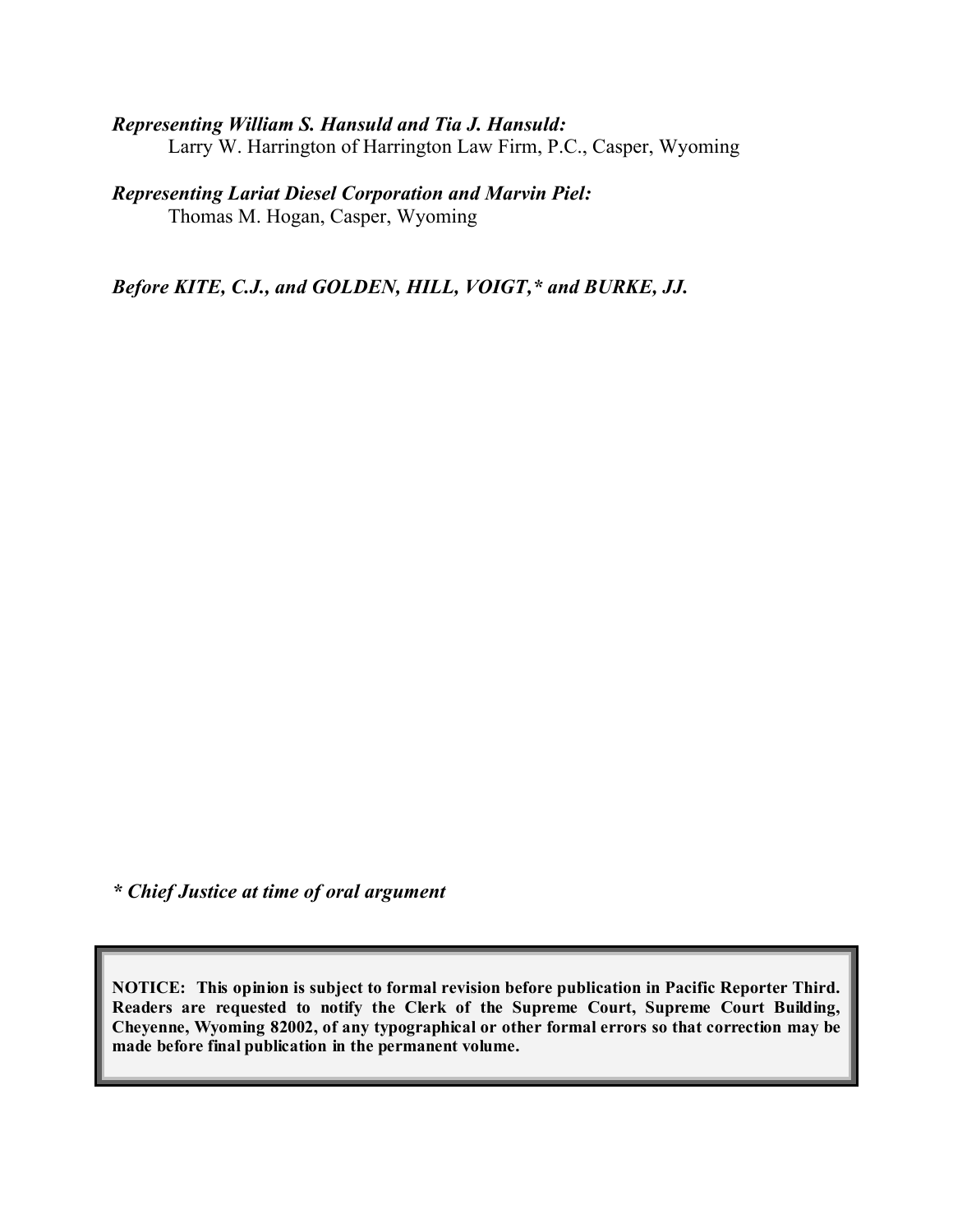#### *Representing William S. Hansuld and Tia J. Hansuld:*

Larry W. Harrington of Harrington Law Firm, P.C., Casper, Wyoming

#### *Representing Lariat Diesel Corporation and Marvin Piel:*

Thomas M. Hogan, Casper, Wyoming

*Before KITE, C.J., and GOLDEN, HILL, VOIGT,\* and BURKE, JJ.*

*\* Chief Justice at time of oral argument*

**NOTICE: This opinion is subject to formal revision before publication in Pacific Reporter Third. Readers are requested to notify the Clerk of the Supreme Court, Supreme Court Building, Cheyenne, Wyoming 82002, of any typographical or other formal errors so that correction may be made before final publication in the permanent volume.**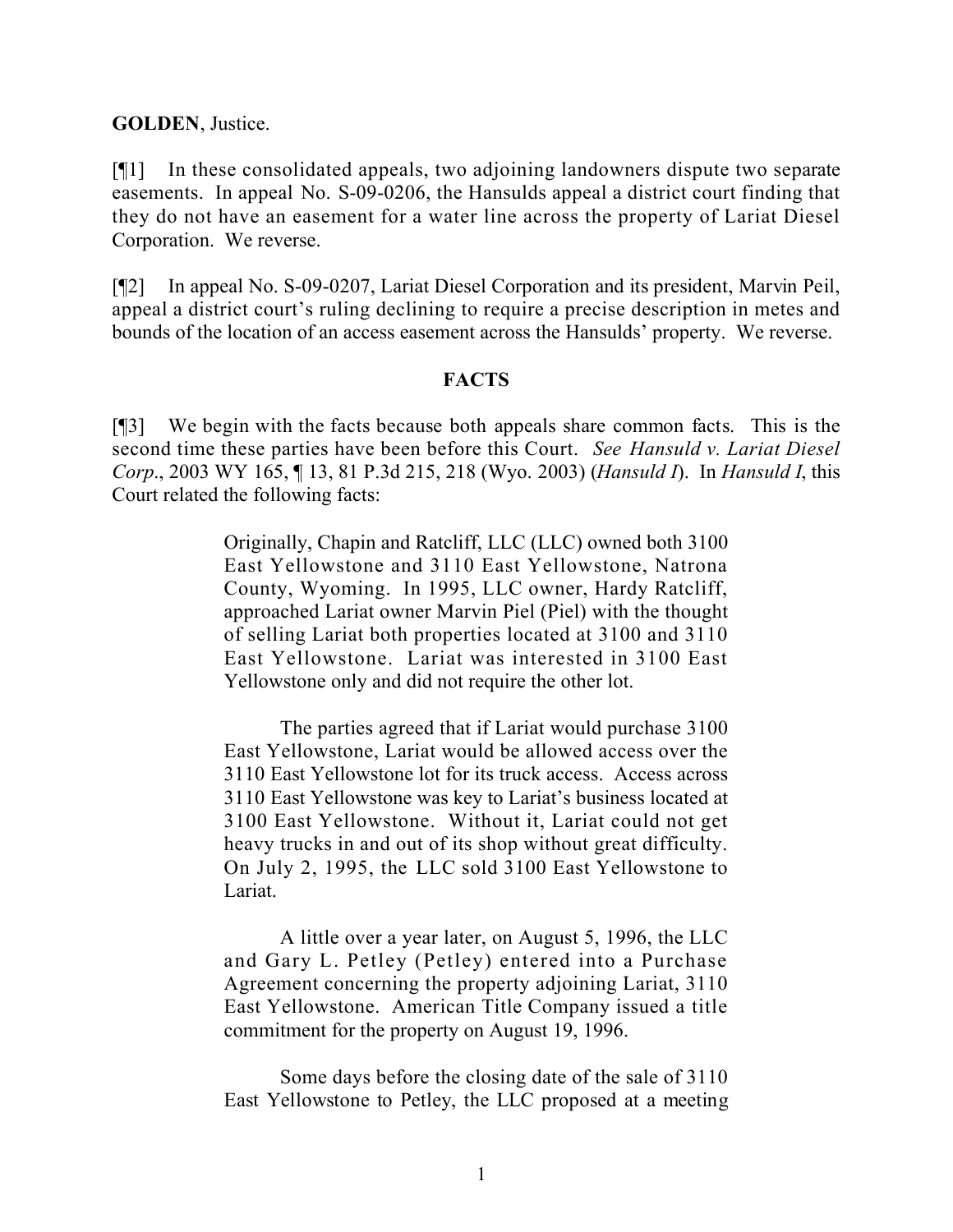**GOLDEN**, Justice.

[¶1] In these consolidated appeals, two adjoining landowners dispute two separate easements. In appeal No. S-09-0206, the Hansulds appeal a district court finding that they do not have an easement for a water line across the property of Lariat Diesel Corporation. We reverse.

[¶2] In appeal No. S-09-0207, Lariat Diesel Corporation and its president, Marvin Peil, appeal a district court's ruling declining to require a precise description in metes and bounds of the location of an access easement across the Hansulds' property. We reverse.

#### **FACTS**

[¶3] We begin with the facts because both appeals share common facts. This is the second time these parties have been before this Court. *See Hansuld v. Lariat Diesel Corp*., 2003 WY 165, ¶ 13, 81 P.3d 215, 218 (Wyo. 2003) (*Hansuld I*). In *Hansuld I*, this Court related the following facts:

> Originally, Chapin and Ratcliff, LLC (LLC) owned both 3100 East Yellowstone and 3110 East Yellowstone, Natrona County, Wyoming. In 1995, LLC owner, Hardy Ratcliff, approached Lariat owner Marvin Piel (Piel) with the thought of selling Lariat both properties located at 3100 and 3110 East Yellowstone. Lariat was interested in 3100 East Yellowstone only and did not require the other lot.

> The parties agreed that if Lariat would purchase 3100 East Yellowstone, Lariat would be allowed access over the 3110 East Yellowstone lot for its truck access. Access across 3110 East Yellowstone was key to Lariat's business located at 3100 East Yellowstone. Without it, Lariat could not get heavy trucks in and out of its shop without great difficulty. On July 2, 1995, the LLC sold 3100 East Yellowstone to Lariat.

> A little over a year later, on August 5, 1996, the LLC and Gary L. Petley (Petley) entered into a Purchase Agreement concerning the property adjoining Lariat, 3110 East Yellowstone. American Title Company issued a title commitment for the property on August 19, 1996.

> Some days before the closing date of the sale of 3110 East Yellowstone to Petley, the LLC proposed at a meeting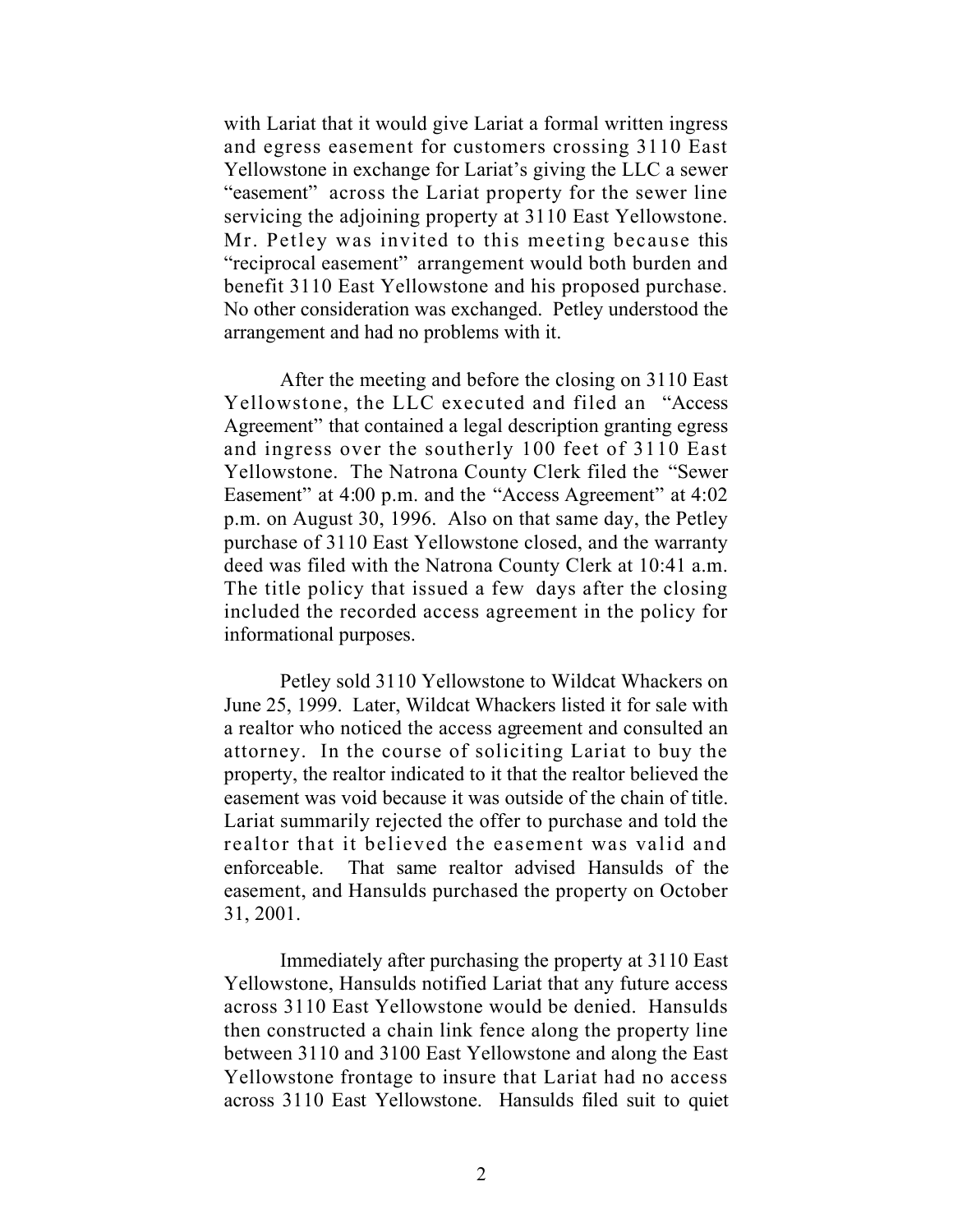with Lariat that it would give Lariat a formal written ingress and egress easement for customers crossing 3110 East Yellowstone in exchange for Lariat's giving the LLC a sewer "easement" across the Lariat property for the sewer line servicing the adjoining property at 3110 East Yellowstone. Mr. Petley was invited to this meeting because this "reciprocal easement" arrangement would both burden and benefit 3110 East Yellowstone and his proposed purchase. No other consideration was exchanged. Petley understood the arrangement and had no problems with it.

After the meeting and before the closing on 3110 East Yellowstone, the LLC executed and filed an "Access Agreement" that contained a legal description granting egress and ingress over the southerly 100 feet of 3110 East Yellowstone. The Natrona County Clerk filed the "Sewer Easement" at 4:00 p.m. and the "Access Agreement" at 4:02 p.m. on August 30, 1996. Also on that same day, the Petley purchase of 3110 East Yellowstone closed, and the warranty deed was filed with the Natrona County Clerk at 10:41 a.m. The title policy that issued a few days after the closing included the recorded access agreement in the policy for informational purposes.

Petley sold 3110 Yellowstone to Wildcat Whackers on June 25, 1999. Later, Wildcat Whackers listed it for sale with a realtor who noticed the access agreement and consulted an attorney. In the course of soliciting Lariat to buy the property, the realtor indicated to it that the realtor believed the easement was void because it was outside of the chain of title. Lariat summarily rejected the offer to purchase and told the realtor that it believed the easement was valid and enforceable. That same realtor advised Hansulds of the easement, and Hansulds purchased the property on October 31, 2001.

Immediately after purchasing the property at 3110 East Yellowstone, Hansulds notified Lariat that any future access across 3110 East Yellowstone would be denied. Hansulds then constructed a chain link fence along the property line between 3110 and 3100 East Yellowstone and along the East Yellowstone frontage to insure that Lariat had no access across 3110 East Yellowstone. Hansulds filed suit to quiet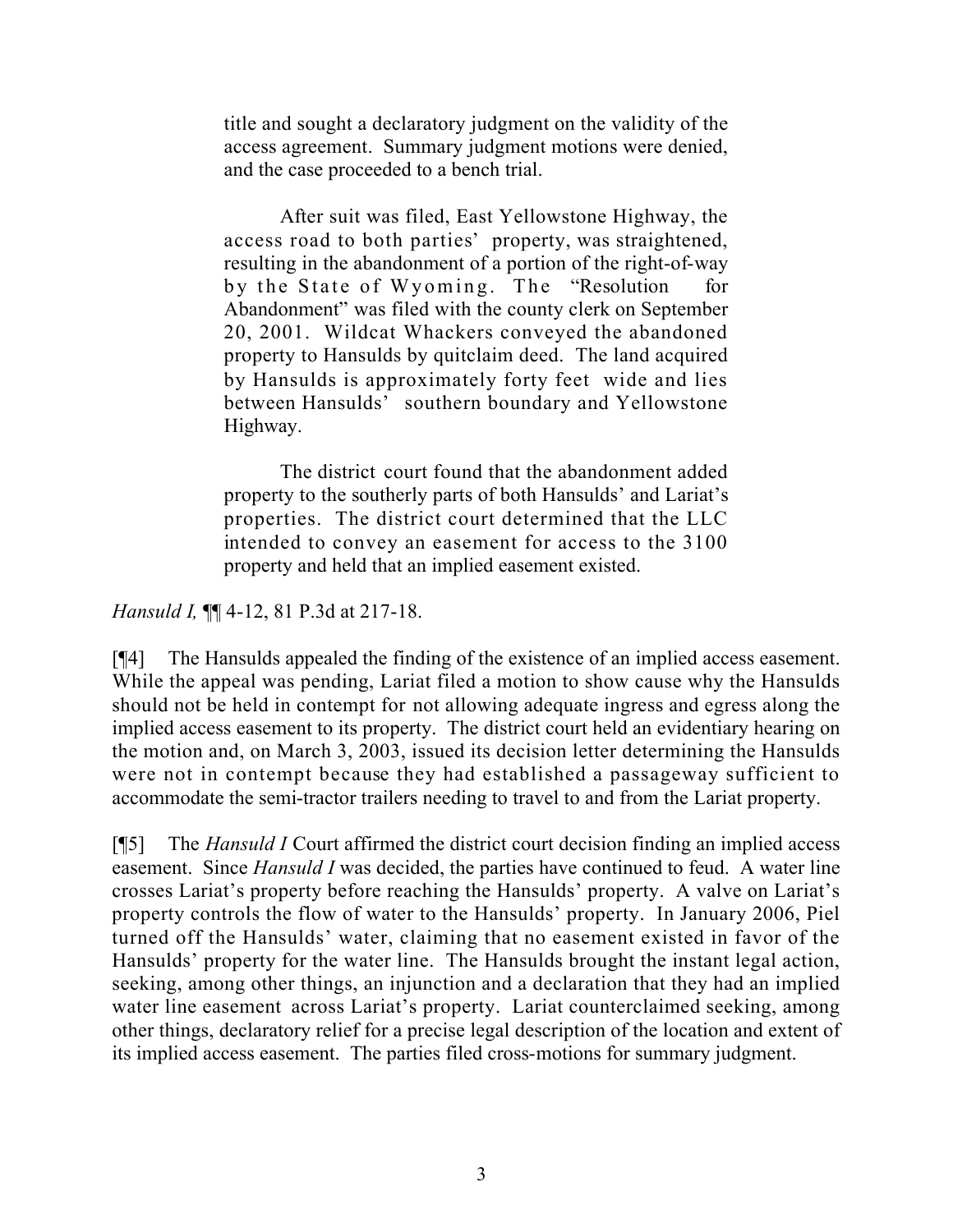title and sought a declaratory judgment on the validity of the access agreement. Summary judgment motions were denied, and the case proceeded to a bench trial.

After suit was filed, East Yellowstone Highway, the access road to both parties' property, was straightened, resulting in the abandonment of a portion of the right-of-way by the State of Wyoming. The "Resolution for Abandonment" was filed with the county clerk on September 20, 2001. Wildcat Whackers conveyed the abandoned property to Hansulds by quitclaim deed. The land acquired by Hansulds is approximately forty feet wide and lies between Hansulds' southern boundary and Yellowstone Highway.

The district court found that the abandonment added property to the southerly parts of both Hansulds' and Lariat's properties. The district court determined that the LLC intended to convey an easement for access to the 3100 property and held that an implied easement existed.

*Hansuld I,* ¶¶ 4-12, 81 P.3d at 217-18.

[¶4] The Hansulds appealed the finding of the existence of an implied access easement. While the appeal was pending, Lariat filed a motion to show cause why the Hansulds should not be held in contempt for not allowing adequate ingress and egress along the implied access easement to its property. The district court held an evidentiary hearing on the motion and, on March 3, 2003, issued its decision letter determining the Hansulds were not in contempt because they had established a passageway sufficient to accommodate the semi-tractor trailers needing to travel to and from the Lariat property.

[¶5] The *Hansuld I* Court affirmed the district court decision finding an implied access easement. Since *Hansuld I* was decided, the parties have continued to feud. A water line crosses Lariat's property before reaching the Hansulds' property. A valve on Lariat's property controls the flow of water to the Hansulds' property. In January 2006, Piel turned off the Hansulds' water, claiming that no easement existed in favor of the Hansulds' property for the water line. The Hansulds brought the instant legal action, seeking, among other things, an injunction and a declaration that they had an implied water line easement across Lariat's property. Lariat counterclaimed seeking, among other things, declaratory relief for a precise legal description of the location and extent of its implied access easement. The parties filed cross-motions for summary judgment.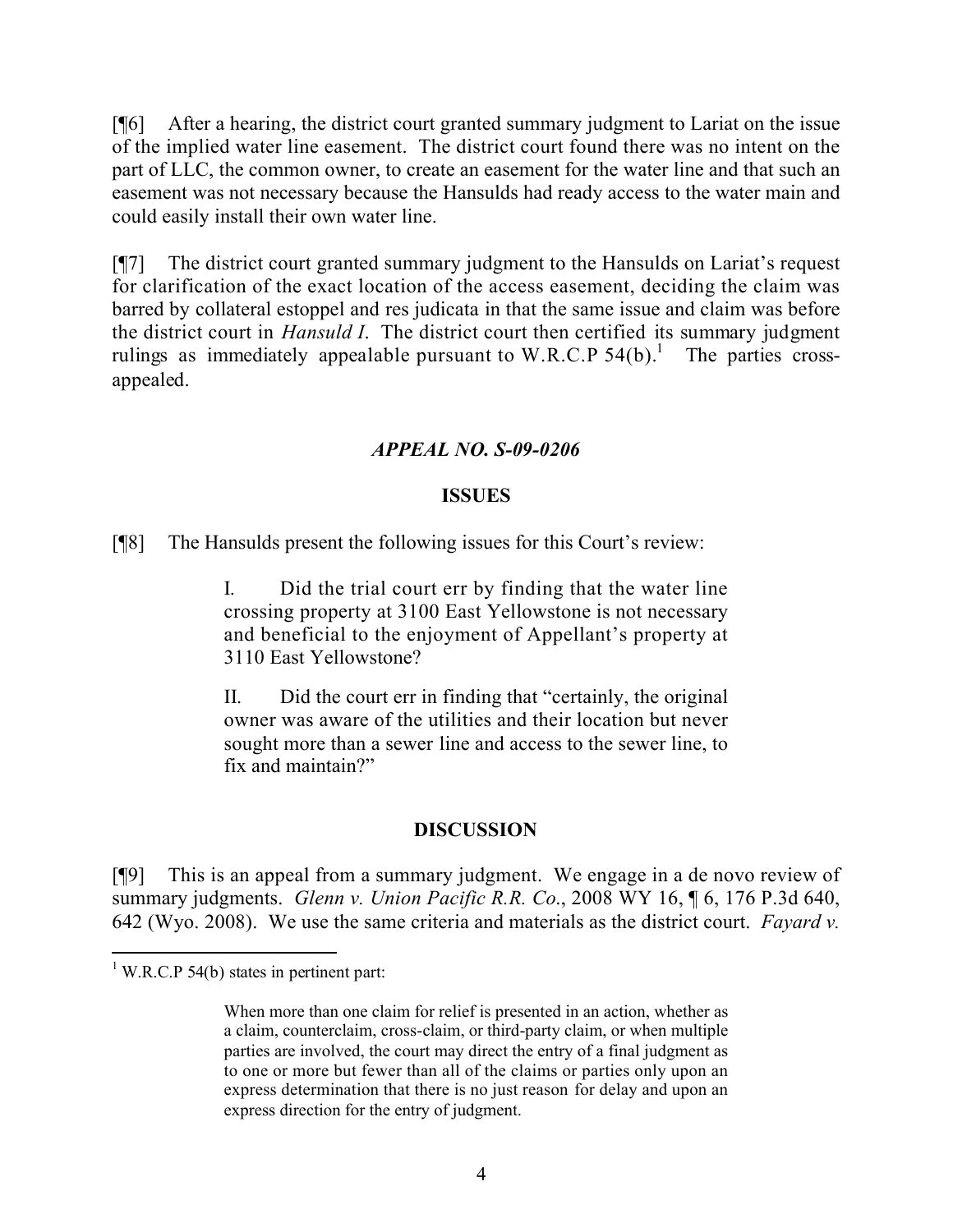[¶6] After a hearing, the district court granted summary judgment to Lariat on the issue of the implied water line easement. The district court found there was no intent on the part of LLC, the common owner, to create an easement for the water line and that such an easement was not necessary because the Hansulds had ready access to the water main and could easily install their own water line.

[¶7] The district court granted summary judgment to the Hansulds on Lariat's request for clarification of the exact location of the access easement, deciding the claim was barred by collateral estoppel and res judicata in that the same issue and claim was before the district court in *Hansuld I*. The district court then certified its summary judgment rulings as immediately appealable pursuant to W.R.C.P  $54(b)$ .<sup>1</sup> The parties crossappealed.

## *APPEAL NO. S-09-0206*

#### **ISSUES**

[¶8] The Hansulds present the following issues for this Court's review:

I. Did the trial court err by finding that the water line crossing property at 3100 East Yellowstone is not necessary and beneficial to the enjoyment of Appellant's property at 3110 East Yellowstone?

II. Did the court err in finding that "certainly, the original owner was aware of the utilities and their location but never sought more than a sewer line and access to the sewer line, to fix and maintain?"

## **DISCUSSION**

[¶9] This is an appeal from a summary judgment. We engage in a de novo review of summary judgments. *Glenn v. Union Pacific R.R. Co*., 2008 WY 16, ¶ 6, 176 P.3d 640, 642 (Wyo. 2008). We use the same criteria and materials as the district court. *Fayard v.* 

 $\overline{a}$ 

 $1$  W.R.C.P 54(b) states in pertinent part:

When more than one claim for relief is presented in an action, whether as a claim, counterclaim, cross-claim, or third-party claim, or when multiple parties are involved, the court may direct the entry of a final judgment as to one or more but fewer than all of the claims or parties only upon an express determination that there is no just reason for delay and upon an express direction for the entry of judgment.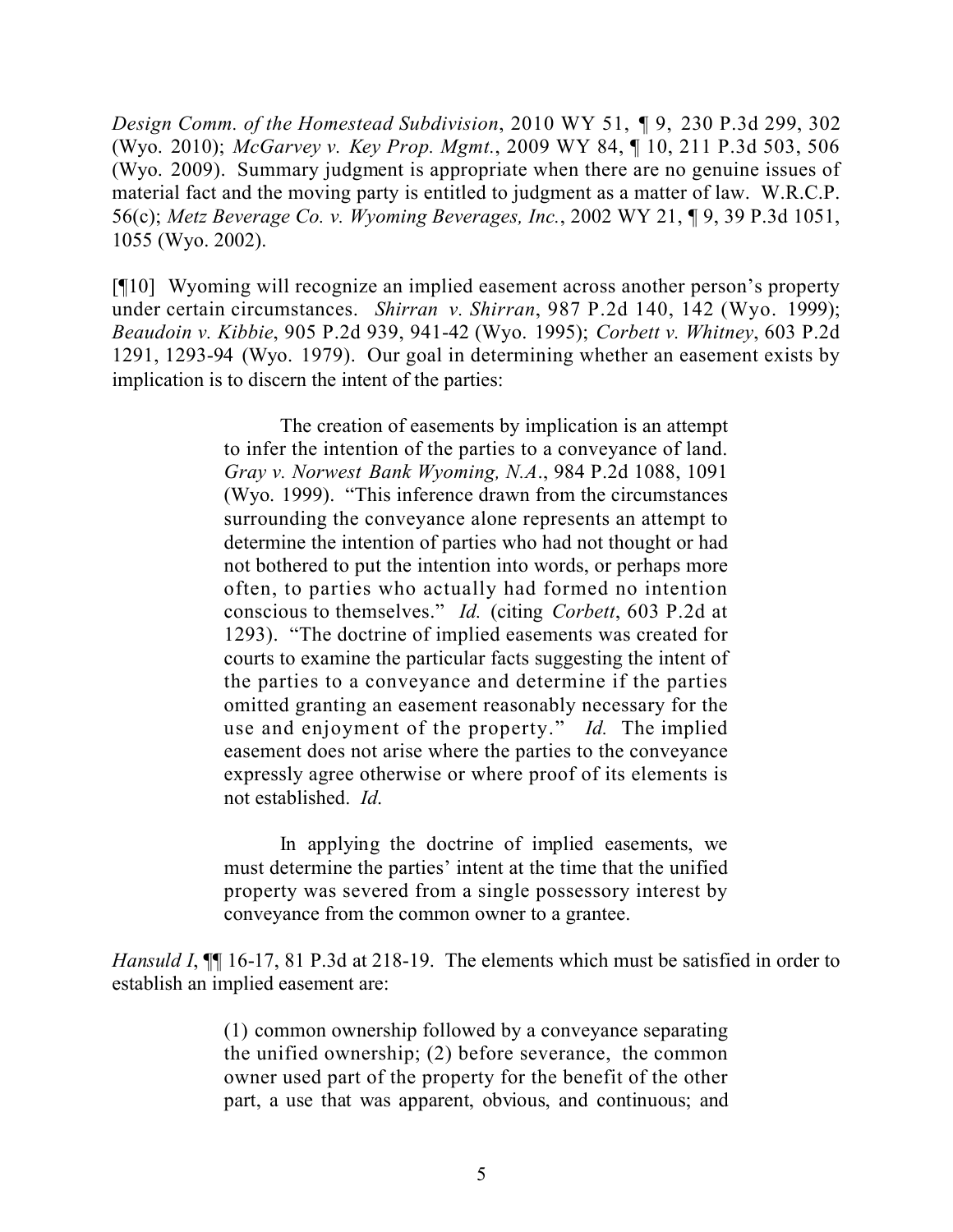*Design Comm. of the Homestead Subdivision*, 2010 WY 51, ¶ 9, 230 P.3d 299, 302 (Wyo. 2010); *McGarvey v. Key Prop. Mgmt.*, 2009 WY 84, ¶ 10, 211 P.3d 503, 506 (Wyo. 2009). Summary judgment is appropriate when there are no genuine issues of material fact and the moving party is entitled to judgment as a matter of law. W.R.C.P. 56(c); *Metz Beverage Co. v. Wyoming Beverages, Inc.*, 2002 WY 21, ¶ 9, 39 P.3d 1051, 1055 (Wyo. 2002).

[¶10] Wyoming will recognize an implied easement across another person's property under certain circumstances. *Shirran v. Shirran*, 987 P.2d 140, 142 (Wyo. 1999); *Beaudoin v. Kibbie*, 905 P.2d 939, 941-42 (Wyo. 1995); *Corbett v. Whitney*, 603 P.2d 1291, 1293-94 (Wyo. 1979). Our goal in determining whether an easement exists by implication is to discern the intent of the parties:

> The creation of easements by implication is an attempt to infer the intention of the parties to a conveyance of land. *Gray v. Norwest Bank Wyoming, N.A*., 984 P.2d 1088, 1091 (Wyo. 1999). "This inference drawn from the circumstances surrounding the conveyance alone represents an attempt to determine the intention of parties who had not thought or had not bothered to put the intention into words, or perhaps more often, to parties who actually had formed no intention conscious to themselves." *Id.* (citing *Corbett*, 603 P.2d at 1293). "The doctrine of implied easements was created for courts to examine the particular facts suggesting the intent of the parties to a conveyance and determine if the parties omitted granting an easement reasonably necessary for the use and enjoyment of the property." *Id.* The implied easement does not arise where the parties to the conveyance expressly agree otherwise or where proof of its elements is not established. *Id*.

> In applying the doctrine of implied easements, we must determine the parties' intent at the time that the unified property was severed from a single possessory interest by conveyance from the common owner to a grantee.

*Hansuld I*,  $\P$  16-17, 81 P.3d at 218-19. The elements which must be satisfied in order to establish an implied easement are:

> (1) common ownership followed by a conveyance separating the unified ownership; (2) before severance, the common owner used part of the property for the benefit of the other part, a use that was apparent, obvious, and continuous; and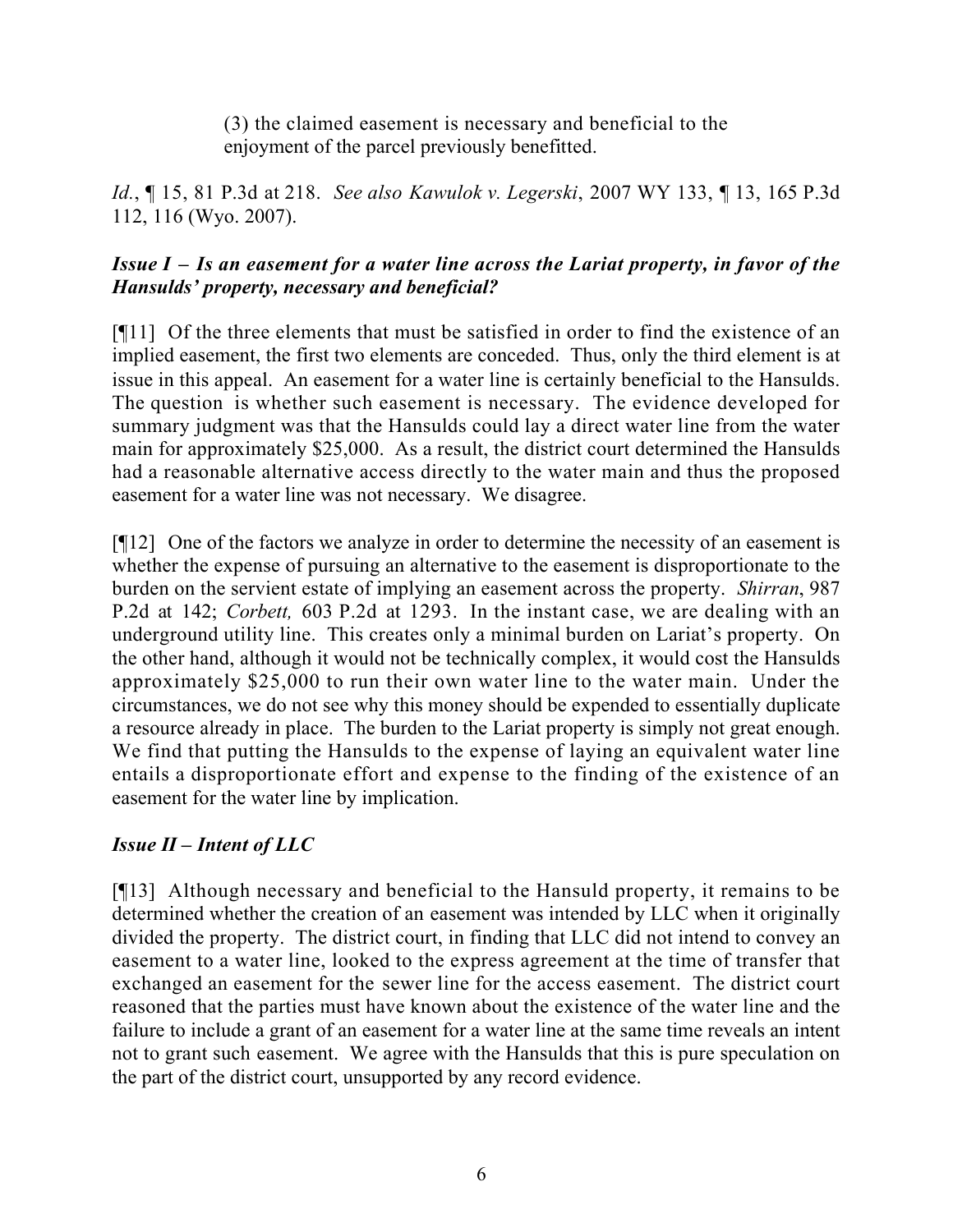(3) the claimed easement is necessary and beneficial to the enjoyment of the parcel previously benefitted.

*Id.*, ¶ 15, 81 P.3d at 218. *See also Kawulok v. Legerski*, 2007 WY 133, ¶ 13, 165 P.3d 112, 116 (Wyo. 2007).

# *Issue I – Is an easement for a water line across the Lariat property, in favor of the Hansulds' property, necessary and beneficial?*

[¶11] Of the three elements that must be satisfied in order to find the existence of an implied easement, the first two elements are conceded. Thus, only the third element is at issue in this appeal. An easement for a water line is certainly beneficial to the Hansulds. The question is whether such easement is necessary. The evidence developed for summary judgment was that the Hansulds could lay a direct water line from the water main for approximately \$25,000. As a result, the district court determined the Hansulds had a reasonable alternative access directly to the water main and thus the proposed easement for a water line was not necessary. We disagree.

[¶12] One of the factors we analyze in order to determine the necessity of an easement is whether the expense of pursuing an alternative to the easement is disproportionate to the burden on the servient estate of implying an easement across the property. *Shirran*, 987 P.2d at 142; *Corbett,* 603 P.2d at 1293. In the instant case, we are dealing with an underground utility line. This creates only a minimal burden on Lariat's property. On the other hand, although it would not be technically complex, it would cost the Hansulds approximately \$25,000 to run their own water line to the water main. Under the circumstances, we do not see why this money should be expended to essentially duplicate a resource already in place. The burden to the Lariat property is simply not great enough. We find that putting the Hansulds to the expense of laying an equivalent water line entails a disproportionate effort and expense to the finding of the existence of an easement for the water line by implication.

# *Issue II – Intent of LLC*

[¶13] Although necessary and beneficial to the Hansuld property, it remains to be determined whether the creation of an easement was intended by LLC when it originally divided the property. The district court, in finding that LLC did not intend to convey an easement to a water line, looked to the express agreement at the time of transfer that exchanged an easement for the sewer line for the access easement. The district court reasoned that the parties must have known about the existence of the water line and the failure to include a grant of an easement for a water line at the same time reveals an intent not to grant such easement. We agree with the Hansulds that this is pure speculation on the part of the district court, unsupported by any record evidence.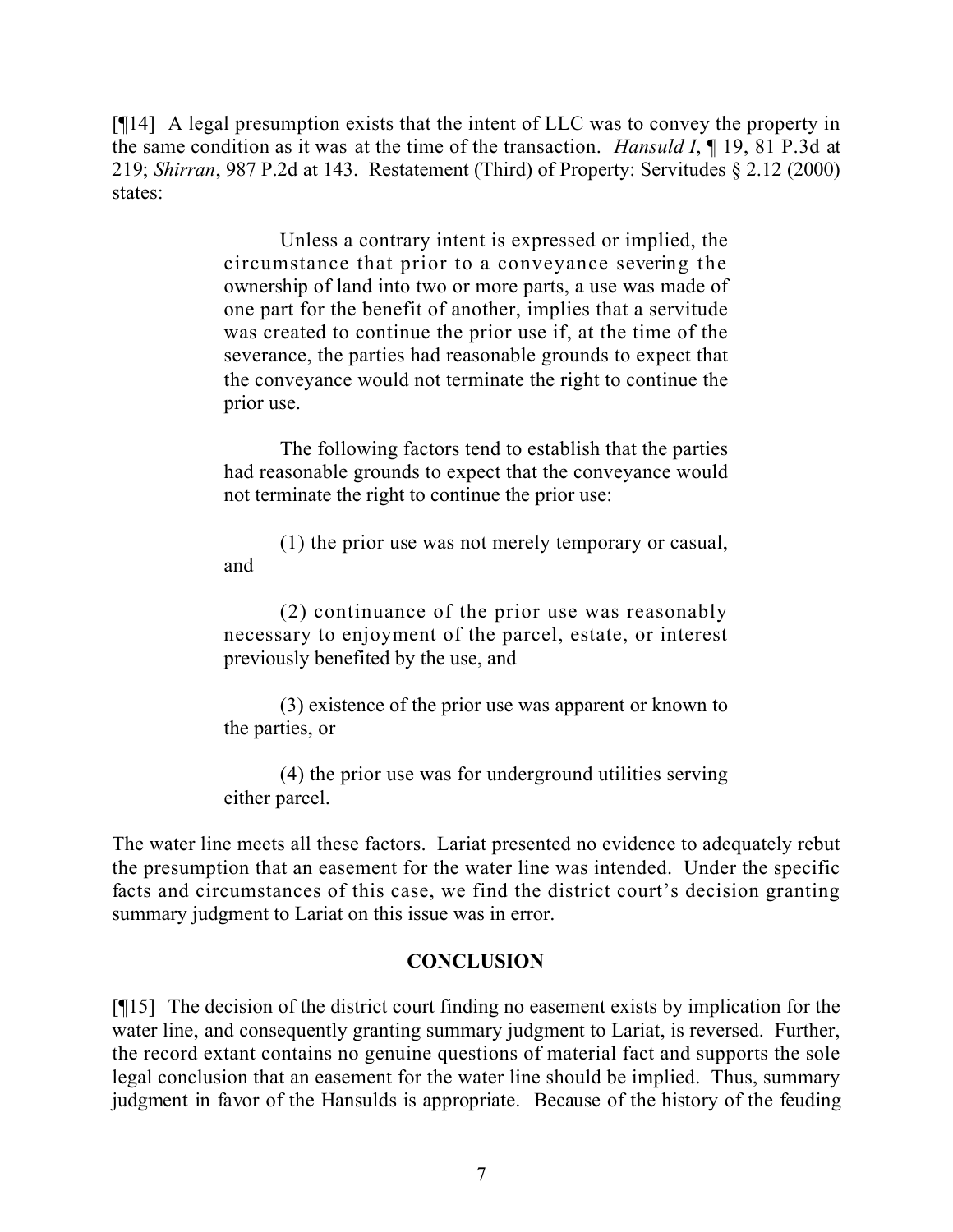[¶14] A legal presumption exists that the intent of LLC was to convey the property in the same condition as it was at the time of the transaction. *Hansuld I*, ¶ 19, 81 P.3d at 219; *Shirran*, 987 P.2d at 143. Restatement (Third) of Property: Servitudes § 2.12 (2000) states:

> Unless a contrary intent is expressed or implied, the circumstance that prior to a conveyance severing the ownership of land into two or more parts, a use was made of one part for the benefit of another, implies that a servitude was created to continue the prior use if, at the time of the severance, the parties had reasonable grounds to expect that the conveyance would not terminate the right to continue the prior use.

> The following factors tend to establish that the parties had reasonable grounds to expect that the conveyance would not terminate the right to continue the prior use:

> (1) the prior use was not merely temporary or casual, and

> (2) continuance of the prior use was reasonably necessary to enjoyment of the parcel, estate, or interest previously benefited by the use, and

> (3) existence of the prior use was apparent or known to the parties, or

> (4) the prior use was for underground utilities serving either parcel.

The water line meets all these factors. Lariat presented no evidence to adequately rebut the presumption that an easement for the water line was intended. Under the specific facts and circumstances of this case, we find the district court's decision granting summary judgment to Lariat on this issue was in error.

## **CONCLUSION**

[¶15] The decision of the district court finding no easement exists by implication for the water line, and consequently granting summary judgment to Lariat, is reversed. Further, the record extant contains no genuine questions of material fact and supports the sole legal conclusion that an easement for the water line should be implied. Thus, summary judgment in favor of the Hansulds is appropriate. Because of the history of the feuding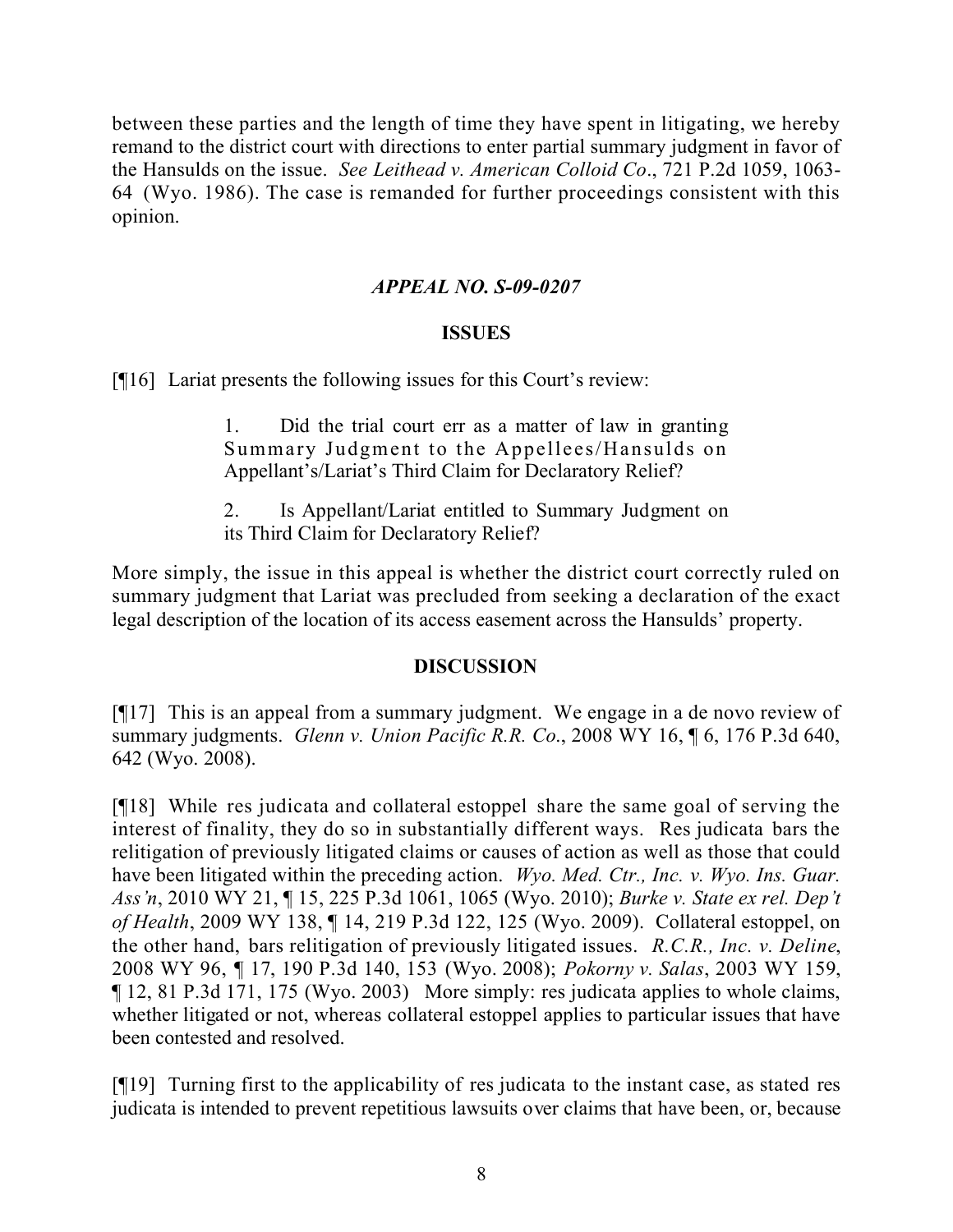between these parties and the length of time they have spent in litigating, we hereby remand to the district court with directions to enter partial summary judgment in favor of the Hansulds on the issue. *See Leithead v. American Colloid Co*., 721 P.2d 1059, 1063- 64 (Wyo. 1986). The case is remanded for further proceedings consistent with this opinion.

## *APPEAL NO. S-09-0207*

#### **ISSUES**

[¶16] Lariat presents the following issues for this Court's review:

1. Did the trial court err as a matter of law in granting Summary Judgment to the Appellees/Hansulds on Appellant's/Lariat's Third Claim for Declaratory Relief?

2. Is Appellant/Lariat entitled to Summary Judgment on its Third Claim for Declaratory Relief?

More simply, the issue in this appeal is whether the district court correctly ruled on summary judgment that Lariat was precluded from seeking a declaration of the exact legal description of the location of its access easement across the Hansulds' property.

#### **DISCUSSION**

[¶17] This is an appeal from a summary judgment. We engage in a de novo review of summary judgments. *Glenn v. Union Pacific R.R. Co*., 2008 WY 16, ¶ 6, 176 P.3d 640, 642 (Wyo. 2008).

[¶18] While res judicata and collateral estoppel share the same goal of serving the interest of finality, they do so in substantially different ways. Res judicata bars the relitigation of previously litigated claims or causes of action as well as those that could have been litigated within the preceding action. *Wyo. Med. Ctr., Inc. v. Wyo. Ins. Guar. Ass'n*, 2010 WY 21, ¶ 15, 225 P.3d 1061, 1065 (Wyo. 2010); *Burke v. State ex rel. Dep't of Health*, 2009 WY 138, ¶ 14, 219 P.3d 122, 125 (Wyo. 2009). Collateral estoppel, on the other hand, bars relitigation of previously litigated issues. *R.C.R., Inc. v. Deline*, 2008 WY 96, ¶ 17, 190 P.3d 140, 153 (Wyo. 2008); *Pokorny v. Salas*, 2003 WY 159, ¶ 12, 81 P.3d 171, 175 (Wyo. 2003) More simply: res judicata applies to whole claims, whether litigated or not, whereas collateral estoppel applies to particular issues that have been contested and resolved.

[¶19] Turning first to the applicability of res judicata to the instant case, as stated res judicata is intended to prevent repetitious lawsuits over claims that have been, or, because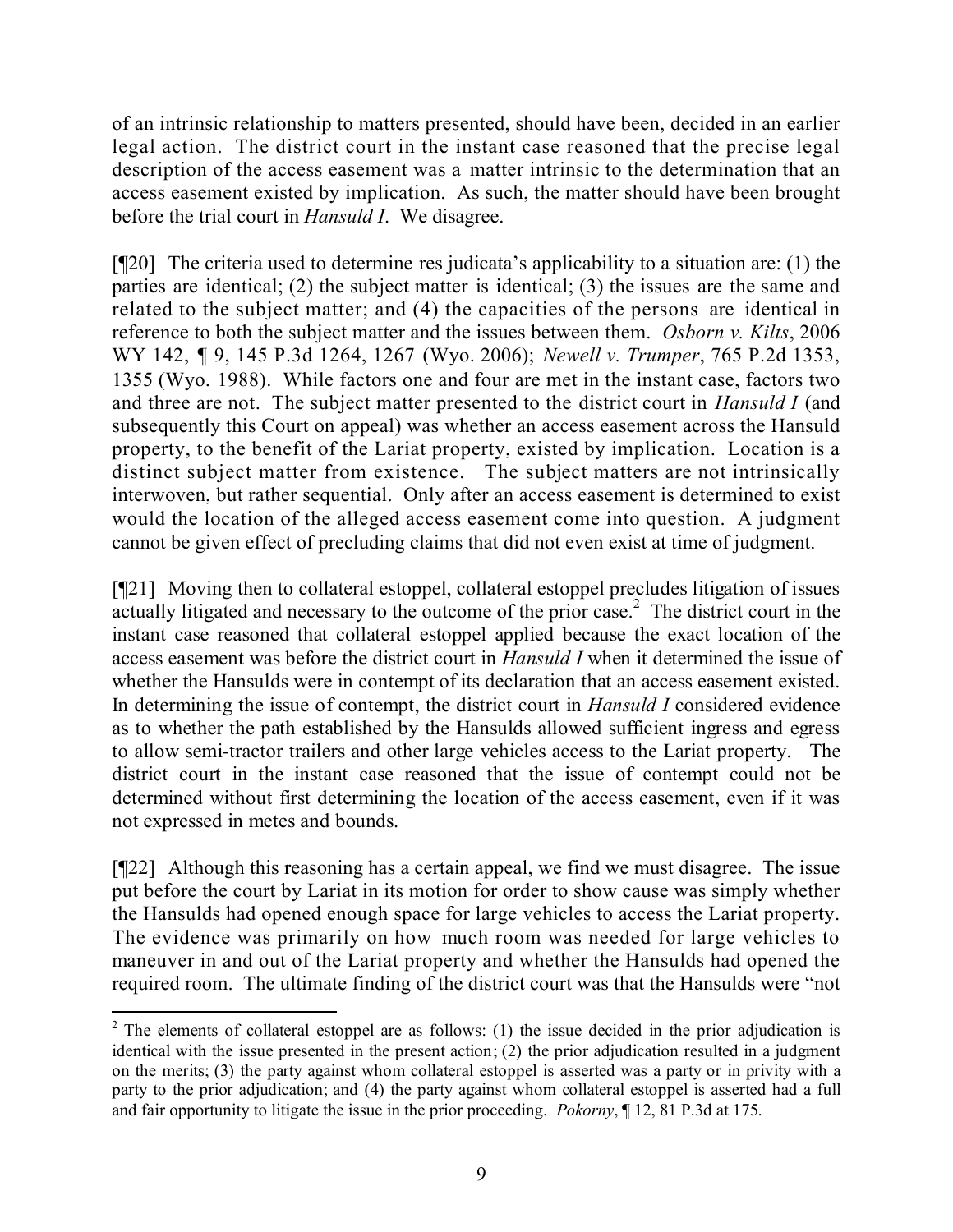of an intrinsic relationship to matters presented, should have been, decided in an earlier legal action. The district court in the instant case reasoned that the precise legal description of the access easement was a matter intrinsic to the determination that an access easement existed by implication. As such, the matter should have been brought before the trial court in *Hansuld I*. We disagree.

[¶20] The criteria used to determine res judicata's applicability to a situation are: (1) the parties are identical; (2) the subject matter is identical; (3) the issues are the same and related to the subject matter; and (4) the capacities of the persons are identical in reference to both the subject matter and the issues between them. *Osborn v. Kilts*, 2006 WY 142, ¶ 9, 145 P.3d 1264, 1267 (Wyo. 2006); *Newell v. Trumper*, 765 P.2d 1353, 1355 (Wyo. 1988). While factors one and four are met in the instant case, factors two and three are not. The subject matter presented to the district court in *Hansuld I* (and subsequently this Court on appeal) was whether an access easement across the Hansuld property, to the benefit of the Lariat property, existed by implication. Location is a distinct subject matter from existence. The subject matters are not intrinsically interwoven, but rather sequential. Only after an access easement is determined to exist would the location of the alleged access easement come into question. A judgment cannot be given effect of precluding claims that did not even exist at time of judgment.

[¶21] Moving then to collateral estoppel, collateral estoppel precludes litigation of issues actually litigated and necessary to the outcome of the prior case.<sup>2</sup> The district court in the instant case reasoned that collateral estoppel applied because the exact location of the access easement was before the district court in *Hansuld I* when it determined the issue of whether the Hansulds were in contempt of its declaration that an access easement existed. In determining the issue of contempt, the district court in *Hansuld I* considered evidence as to whether the path established by the Hansulds allowed sufficient ingress and egress to allow semi-tractor trailers and other large vehicles access to the Lariat property. The district court in the instant case reasoned that the issue of contempt could not be determined without first determining the location of the access easement, even if it was not expressed in metes and bounds.

[¶22] Although this reasoning has a certain appeal, we find we must disagree. The issue put before the court by Lariat in its motion for order to show cause was simply whether the Hansulds had opened enough space for large vehicles to access the Lariat property. The evidence was primarily on how much room was needed for large vehicles to maneuver in and out of the Lariat property and whether the Hansulds had opened the required room. The ultimate finding of the district court was that the Hansulds were "not

 $\overline{a}$ 

 $2$  The elements of collateral estoppel are as follows: (1) the issue decided in the prior adjudication is identical with the issue presented in the present action; (2) the prior adjudication resulted in a judgment on the merits; (3) the party against whom collateral estoppel is asserted was a party or in privity with a party to the prior adjudication; and (4) the party against whom collateral estoppel is asserted had a full and fair opportunity to litigate the issue in the prior proceeding. *Pokorny*, ¶ 12, 81 P.3d at 175.